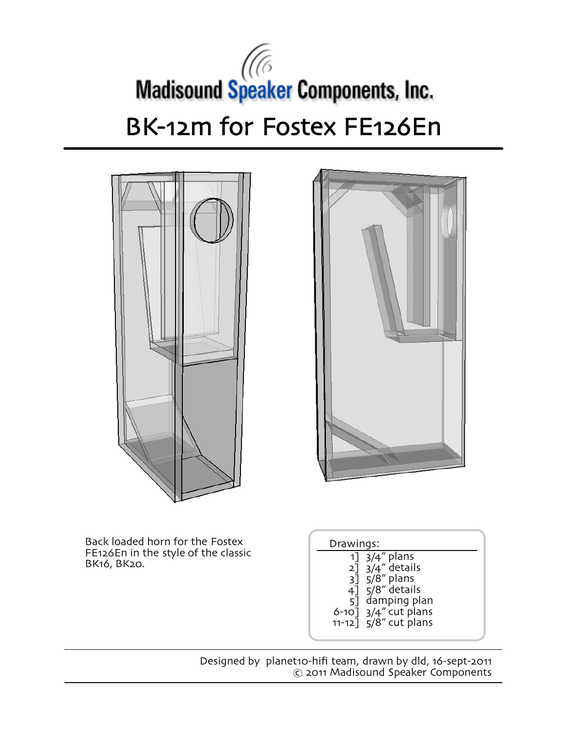## Madisound Speaker Components, Inc. BK-12m for Fostex FE126En





Back loaded horn for the Fostex FE126En in the style of the classic<br>BK16, BK20. 1

| Drawings:                                                                                                                                                                  |  |
|----------------------------------------------------------------------------------------------------------------------------------------------------------------------------|--|
| $1$ ] $3/4$ " plans<br>$2]$ 3/4" details<br>$3\bar{]}$ $5/8$ " plans<br>$4\bar{1}$ 5/8" details<br>5] damping plan<br>$6-10$ ] $3/4$ " cut plans<br>$11-12$ 5/8" cut plans |  |
|                                                                                                                                                                            |  |

Designed by planet10-hifi team, drawn by dld, 16-sept-2011 © 2011 Madisound Speaker Components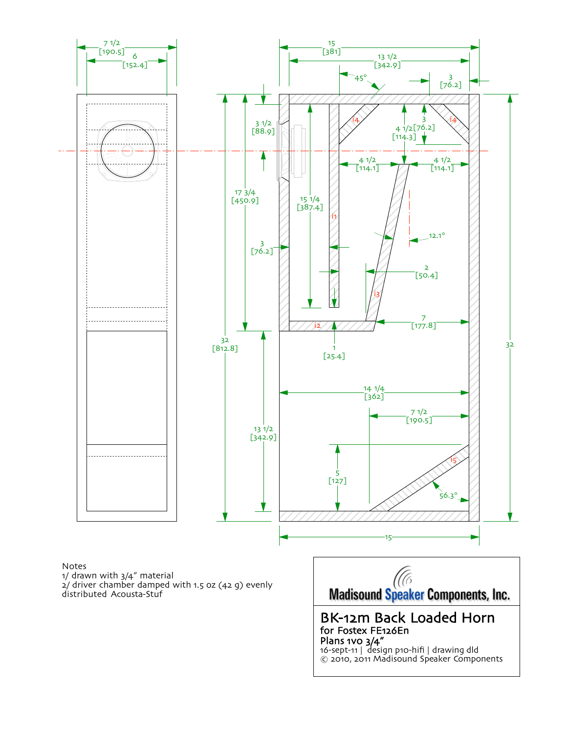

Notes 1/ drawn with 3/4" material 2/ driver chamber damped with 1.5 oz (42 g) evenly distributed Acousta-Stuf

Madisound Speaker Components, Inc.

BK-12m Back Loaded Horn for Fostex FE126En Plans 1v0 3/4" 16-sept-11 | design p10-hifi | drawing dld © 2010, 2011 Madisound Speaker Components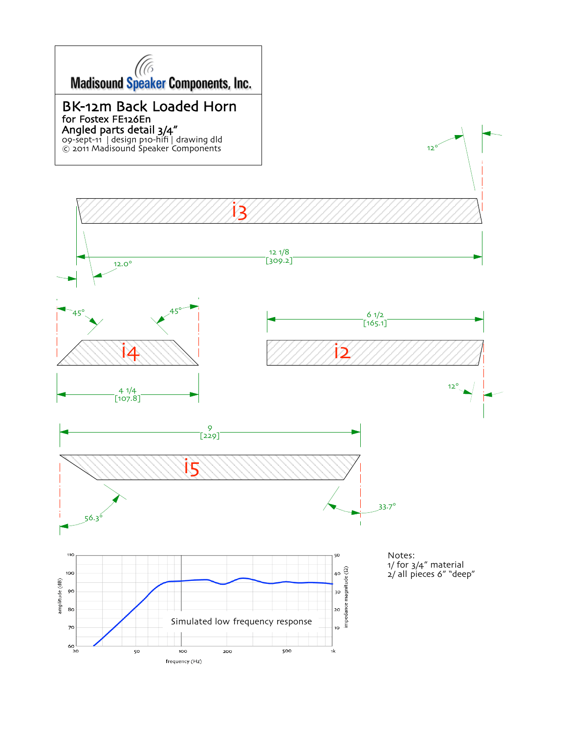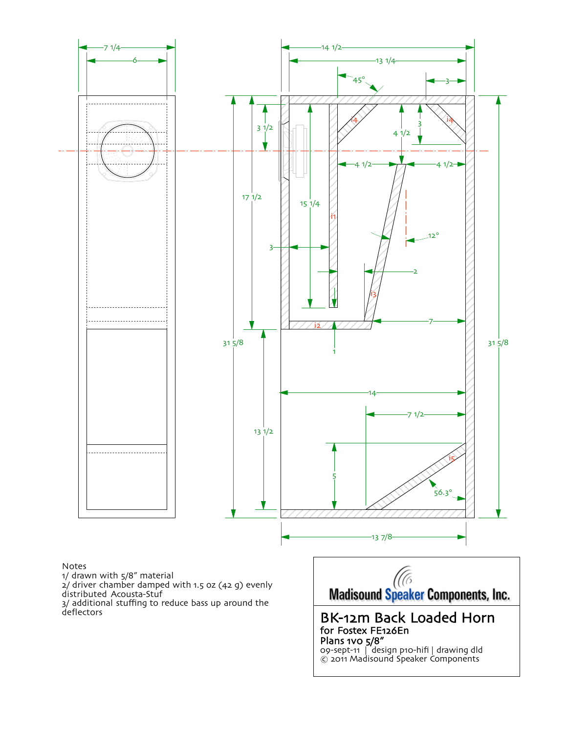

## Notes

1/ drawn with 5/8" material

2/ driver chamber damped with 1.5 oz (42 g) evenly distributed Acousta-Stuf

3/ additional stuffing to reduce bass up around the deflectors

Madisound Speaker Components, Inc.

BK-12m Back Loaded Horn for Fostex FE126En Plans 1vo 5/8" 09-sept-11 | design p10-hifi | drawing dld © 2011 Madisound Speaker Components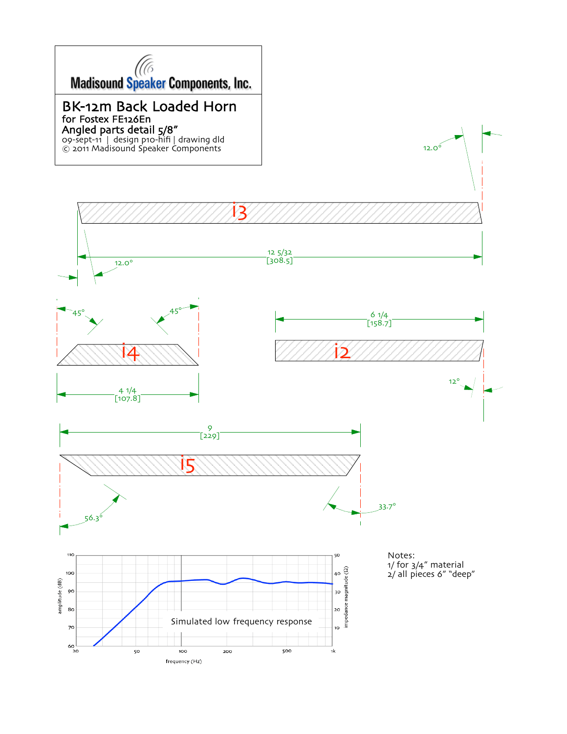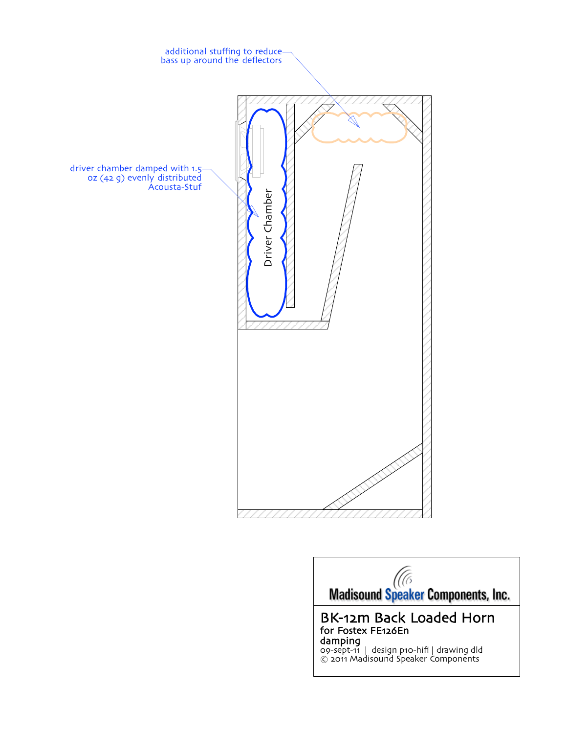

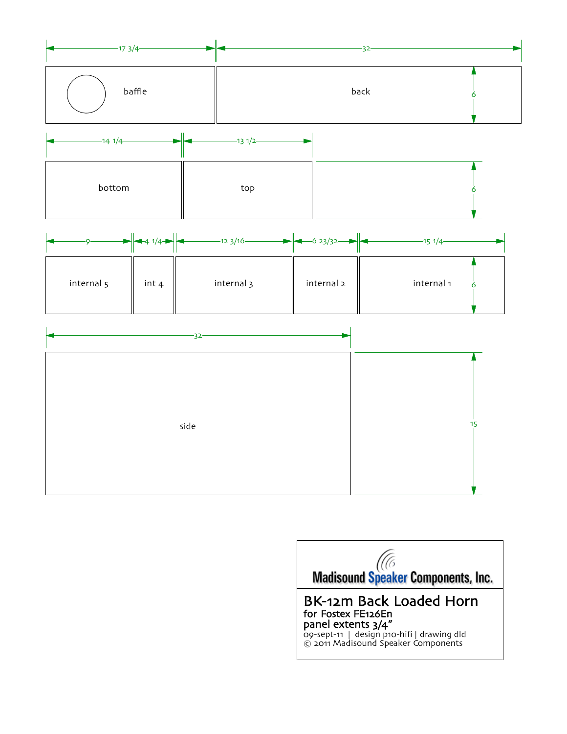

|            |       | $\rightarrow$ 4 1/4 $\rightarrow$ $\rightarrow$ 12 3/16 $\rightarrow$ 6 23/32 $\rightarrow$ |            | -15 1/4-   |
|------------|-------|---------------------------------------------------------------------------------------------|------------|------------|
| internal 5 | int 4 | internal 3                                                                                  | internal 2 | internal 1 |

| 32-  |  |
|------|--|
|      |  |
|      |  |
| side |  |
|      |  |
|      |  |
|      |  |

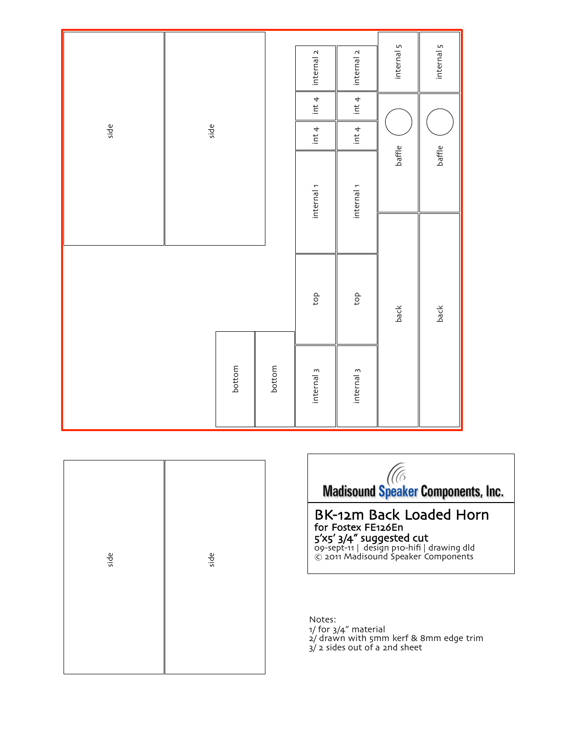|      |      |        |        | internal 2            | internal 2            | internal 5 | internal 5 |
|------|------|--------|--------|-----------------------|-----------------------|------------|------------|
|      |      |        |        | int 4                 | int 4                 |            |            |
| side | side |        |        |                       | int 4                 |            |            |
|      |      |        |        | internal <sub>1</sub> | internal <sub>1</sub> | baffle     | baffle     |
|      |      |        |        |                       |                       |            |            |
|      |      |        |        | top                   | $\rm{d}o$             | back       | back       |
|      |      | bottom | bottom | internal <sub>3</sub> | internal <sub>3</sub> |            |            |

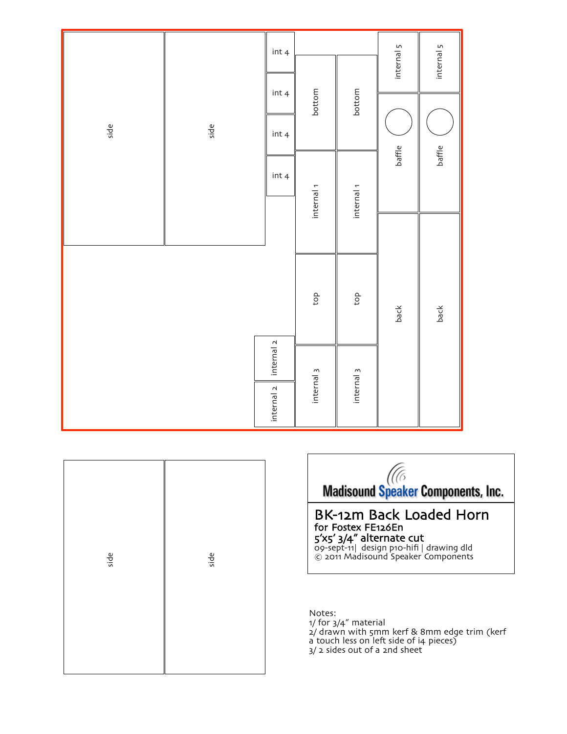|      |      | int 4                 | bottom                |                       | internal 5<br>internal 5 |        |
|------|------|-----------------------|-----------------------|-----------------------|--------------------------|--------|
|      |      | int 4                 |                       | bottom                |                          |        |
| side | side | int 4                 |                       |                       |                          |        |
|      |      | int 4                 |                       |                       | baffle                   | baffle |
|      |      | internal <sub>1</sub> | internal <sub>1</sub> |                       |                          |        |
|      |      |                       |                       |                       |                          |        |
|      |      |                       | $\frac{1}{2}$         | top                   |                          |        |
|      |      |                       |                       |                       | back                     | back   |
|      |      | internal <sub>2</sub> |                       |                       |                          |        |
|      |      | internal 2            | internal <sub>3</sub> | internal <sub>3</sub> |                          |        |

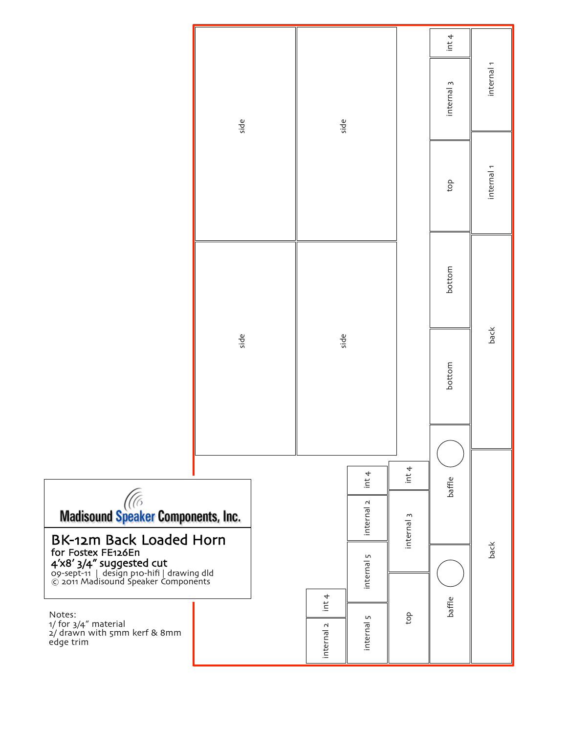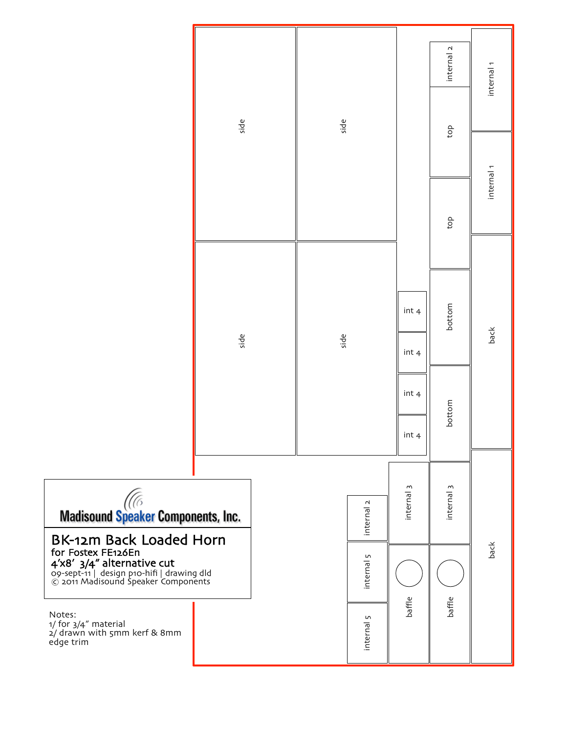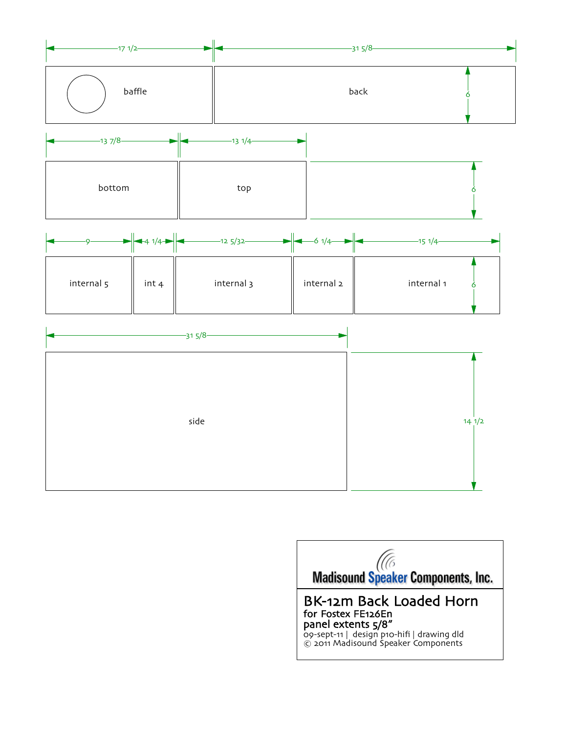

|            | $\rightarrow 4$ 1/4 $\rightarrow$<br>$-125/32-$ | $\rightarrow$ $\rightarrow$ $\rightarrow$ $\rightarrow$ $\rightarrow$ | -15 1/4-   |
|------------|-------------------------------------------------|-----------------------------------------------------------------------|------------|
| internal 5 | internal 3<br>int 4                             | internal 2                                                            | internal 1 |

| $-315/8-$ |                  |  |
|-----------|------------------|--|
| side      | $14 \frac{1}{2}$ |  |